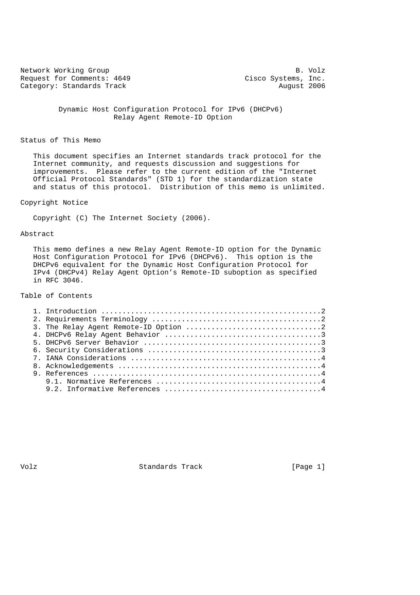Network Working Group B. Volz<br>Request for Comments: 4649 (and Cisco Systems, Inc. Request for Comments: 4649 Cisco Systems, Inc.<br>Category: Standards Track Category: August 2006 Category: Standards Track

 Dynamic Host Configuration Protocol for IPv6 (DHCPv6) Relay Agent Remote-ID Option

## Status of This Memo

 This document specifies an Internet standards track protocol for the Internet community, and requests discussion and suggestions for improvements. Please refer to the current edition of the "Internet Official Protocol Standards" (STD 1) for the standardization state and status of this protocol. Distribution of this memo is unlimited.

## Copyright Notice

Copyright (C) The Internet Society (2006).

#### Abstract

 This memo defines a new Relay Agent Remote-ID option for the Dynamic Host Configuration Protocol for IPv6 (DHCPv6). This option is the DHCPv6 equivalent for the Dynamic Host Configuration Protocol for IPv4 (DHCPv4) Relay Agent Option's Remote-ID suboption as specified in RFC 3046.

# Table of Contents

Volz **Standards Track** [Page 1]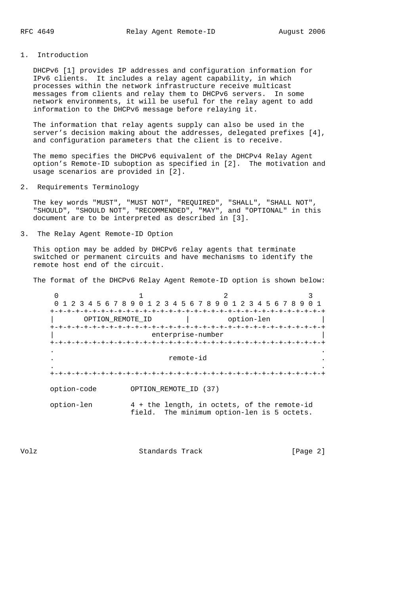# 1. Introduction

 DHCPv6 [1] provides IP addresses and configuration information for IPv6 clients. It includes a relay agent capability, in which processes within the network infrastructure receive multicast messages from clients and relay them to DHCPv6 servers. In some network environments, it will be useful for the relay agent to add information to the DHCPv6 message before relaying it.

 The information that relay agents supply can also be used in the server's decision making about the addresses, delegated prefixes [4], and configuration parameters that the client is to receive.

 The memo specifies the DHCPv6 equivalent of the DHCPv4 Relay Agent option's Remote-ID suboption as specified in [2]. The motivation and usage scenarios are provided in [2].

### 2. Requirements Terminology

 The key words "MUST", "MUST NOT", "REQUIRED", "SHALL", "SHALL NOT", "SHOULD", "SHOULD NOT", "RECOMMENDED", "MAY", and "OPTIONAL" in this document are to be interpreted as described in [3].

## 3. The Relay Agent Remote-ID Option

 This option may be added by DHCPv6 relay agents that terminate switched or permanent circuits and have mechanisms to identify the remote host end of the circuit.

The format of the DHCPv6 Relay Agent Remote-ID option is shown below:

 $0$  1 2 3 0 1 2 3 4 5 6 7 8 9 0 1 2 3 4 5 6 7 8 9 0 1 2 3 4 5 6 7 8 9 0 1 +-+-+-+-+-+-+-+-+-+-+-+-+-+-+-+-+-+-+-+-+-+-+-+-+-+-+-+-+-+-+-+-+ | OPTION\_REMOTE\_ID | option-len | +-+-+-+-+-+-+-+-+-+-+-+-+-+-+-+-+-+-+-+-+-+-+-+-+-+-+-+-+-+-+-+-+ enterprise-number +-+-+-+-+-+-+-+-+-+-+-+-+-+-+-+-+-+-+-+-+-+-+-+-+-+-+-+-+-+-+-+-+ . . . remote-id . . . +-+-+-+-+-+-+-+-+-+-+-+-+-+-+-+-+-+-+-+-+-+-+-+-+-+-+-+-+-+-+-+-+ option-code OPTION\_REMOTE\_ID (37) option-len 4 + the length, in octets, of the remote-id field. The minimum option-len is 5 octets.

Volz Standards Track [Page 2]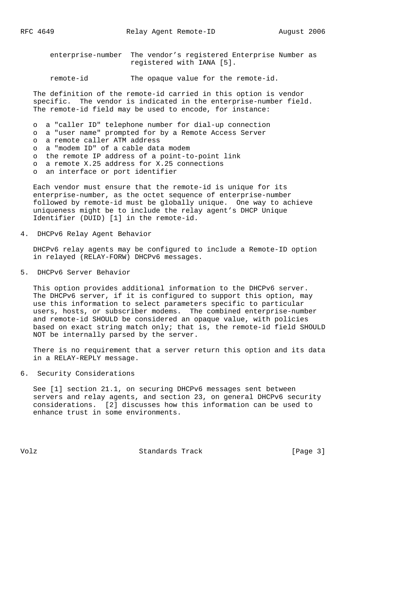enterprise-number The vendor's registered Enterprise Number as registered with IANA [5].

remote-id The opaque value for the remote-id.

 The definition of the remote-id carried in this option is vendor specific. The vendor is indicated in the enterprise-number field. The remote-id field may be used to encode, for instance:

- o a "caller ID" telephone number for dial-up connection
- o a "user name" prompted for by a Remote Access Server
- o a remote caller ATM address
- o a "modem ID" of a cable data modem
- o the remote IP address of a point-to-point link
- o a remote X.25 address for X.25 connections
- o an interface or port identifier

 Each vendor must ensure that the remote-id is unique for its enterprise-number, as the octet sequence of enterprise-number followed by remote-id must be globally unique. One way to achieve uniqueness might be to include the relay agent's DHCP Unique Identifier (DUID) [1] in the remote-id.

4. DHCPv6 Relay Agent Behavior

 DHCPv6 relay agents may be configured to include a Remote-ID option in relayed (RELAY-FORW) DHCPv6 messages.

5. DHCPv6 Server Behavior

 This option provides additional information to the DHCPv6 server. The DHCPv6 server, if it is configured to support this option, may use this information to select parameters specific to particular users, hosts, or subscriber modems. The combined enterprise-number and remote-id SHOULD be considered an opaque value, with policies based on exact string match only; that is, the remote-id field SHOULD NOT be internally parsed by the server.

 There is no requirement that a server return this option and its data in a RELAY-REPLY message.

6. Security Considerations

 See [1] section 21.1, on securing DHCPv6 messages sent between servers and relay agents, and section 23, on general DHCPv6 security considerations. [2] discusses how this information can be used to enhance trust in some environments.

Volz **Standards Track** [Page 3]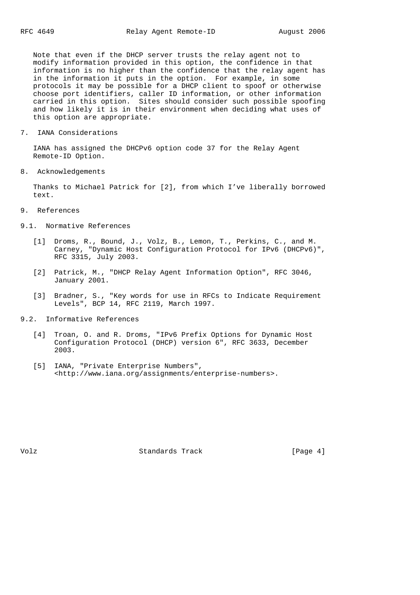Note that even if the DHCP server trusts the relay agent not to modify information provided in this option, the confidence in that information is no higher than the confidence that the relay agent has in the information it puts in the option. For example, in some protocols it may be possible for a DHCP client to spoof or otherwise choose port identifiers, caller ID information, or other information carried in this option. Sites should consider such possible spoofing and how likely it is in their environment when deciding what uses of this option are appropriate.

7. IANA Considerations

 IANA has assigned the DHCPv6 option code 37 for the Relay Agent Remote-ID Option.

8. Acknowledgements

 Thanks to Michael Patrick for [2], from which I've liberally borrowed text.

- 9. References
- 9.1. Normative References
	- [1] Droms, R., Bound, J., Volz, B., Lemon, T., Perkins, C., and M. Carney, "Dynamic Host Configuration Protocol for IPv6 (DHCPv6)", RFC 3315, July 2003.
	- [2] Patrick, M., "DHCP Relay Agent Information Option", RFC 3046, January 2001.
	- [3] Bradner, S., "Key words for use in RFCs to Indicate Requirement Levels", BCP 14, RFC 2119, March 1997.
- 9.2. Informative References
	- [4] Troan, O. and R. Droms, "IPv6 Prefix Options for Dynamic Host Configuration Protocol (DHCP) version 6", RFC 3633, December 2003.
	- [5] IANA, "Private Enterprise Numbers", <http://www.iana.org/assignments/enterprise-numbers>.

Volz **Standards Track** [Page 4]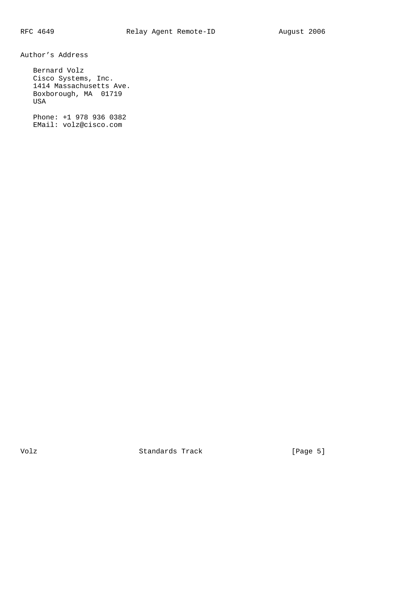Author's Address

 Bernard Volz Cisco Systems, Inc. 1414 Massachusetts Ave. Boxborough, MA 01719 USA

 Phone: +1 978 936 0382 EMail: volz@cisco.com

Volz Standards Track [Page 5]